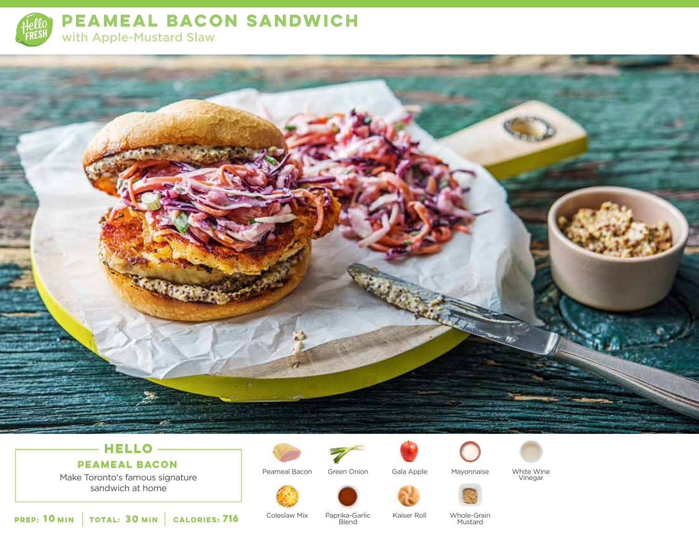

**PEAMEAL BACON SANDWICH**  with Apple-Mustard Slaw



## **HELLO**

Make Toronto's famous signature sandwich at home **PEAMEAL BACON**



Peameal Bacon Green Onion



Mayonnaise



White Wine Vinegar

**10 30 MIN MIN CALORIES:**

Coleslaw Mix Paprika-Garlic Kaiser Roll **716**

**Blend** 

Whole-Grain **Mustard**